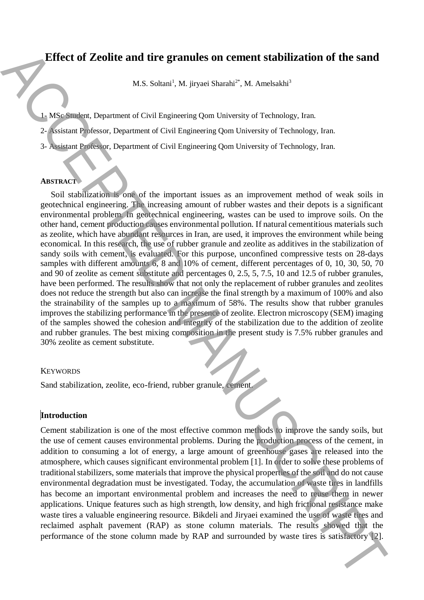# **Effect of Zeolite and tire granules on cement stabilization of the sand**

M.S. Soltani<sup>1</sup>, M. jiryaei Sharahi<sup>2\*</sup>, M. Amelsakhi<sup>3</sup>

1- MSc Student, Department of Civil Engineering Qom University of Technology, Iran.

- 2- Assistant Professor, Department of Civil Engineering Qom University of Technology, Iran.
- 3- Assistant Professor, Department of Civil Engineering Qom University of Technology, Iran.

#### **ABSTRACT**

Soil stabilization is one of the important issues as an improvement method of weak soils in geotechnical engineering. The increasing amount of rubber wastes and their depots is a significant environmental problem. In geotechnical engineering, wastes can be used to improve soils. On the other hand, cement production causes environmental pollution. If natural cementitious materials such as zeolite, which have abundant resources in Iran, are used, it improves the environment while being economical. In this research, the use of rubber granule and zeolite as additives in the stabilization of sandy soils with cement, is evaluated. For this purpose, unconfined compressive tests on 28-days samples with different amounts 6, 8 and 10% of cement, different percentages of 0, 10, 30, 50, 70 and 90 of zeolite as cement substitute and percentages 0, 2.5, 5, 7.5, 10 and 12.5 of rubber granules, have been performed. The results show that not only the replacement of rubber granules and zeolites does not reduce the strength but also can increase the final strength by a maximum of 100% and also the strainability of the samples up to a maximum of 58%. The results show that rubber granules improves the stabilizing performance in the presence of zeolite. Electron microscopy (SEM) imaging of the samples showed the cohesion and integrity of the stabilization due to the addition of zeolite and rubber granules. The best mixing composition in the present study is 7.5% rubber granules and 30% zeolite as cement substitute. **Effect of Zeolite and tire granules on cement stabilization of the sand<br>
M.S. Sohnet: M iroset Symbol MANUSCRIPT (M. Architekts)<br>
2. Six Sound Manuscript Civil Equivarian Qualitation of the interview of Technology, Eur.<br>** 

#### **KEYWORDS**

Sand stabilization, zeolite, eco-friend, rubber granule, cement.

### **Introduction**

Cement stabilization is one of the most effective common methods to improve the sandy soils, but the use of cement causes environmental problems. During the production process of the cement, in addition to consuming a lot of energy, a large amount of greenhouse gases are released into the atmosphere, which causes significant environmental problem [1]. In order to solve these problems of traditional stabilizers, some materials that improve the physical properties of the soil and do not cause environmental degradation must be investigated. Today, the accumulation of waste tires in landfills has become an important environmental problem and increases the need to reuse them in newer applications. Unique features such as high strength, low density, and high frictional resistance make waste tires a valuable engineering resource. Bikdeli and Jiryaei examined the use of waste tires and reclaimed asphalt pavement (RAP) as stone column materials. The results showed that the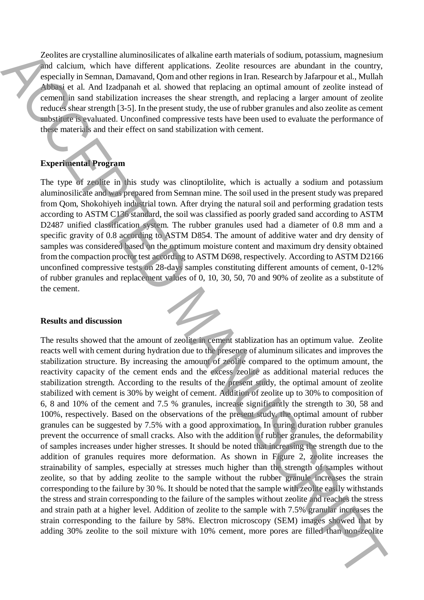Zeolites are crystalline aluminosilicates of alkaline earth materials of sodium, potassium, magnesium and calcium, which have different applications. Zeolite resources are abundant in the country, especially in Semnan, Damavand, Qom and other regions in Iran. Research by Jafarpour et al., Mullah Abbasi et al. And Izadpanah et al. showed that replacing an optimal amount of zeolite instead of cement in sand stabilization increases the shear strength, and replacing a larger amount of zeolite reduces shear strength [3-5]. In the present study, the use of rubber granules and also zeolite as cement substitute is evaluated. Unconfined compressive tests have been used to evaluate the performance of these materials and their effect on sand stabilization with cement.

### **Experimental Program**

The type of zeolite in this study was clinoptilolite, which is actually a sodium and potassium aluminosilicate and was prepared from Semnan mine. The soil used in the present study was prepared from Qom, Shokohiyeh industrial town. After drying the natural soil and performing gradation tests according to ASTM C136 standard, the soil was classified as poorly graded sand according to ASTM D2487 unified classification system. The rubber granules used had a diameter of 0.8 mm and a specific gravity of 0.8 according to ASTM D854. The amount of additive water and dry density of samples was considered based on the optimum moisture content and maximum dry density obtained from the compaction proctor test according to ASTM D698, respectively. According to ASTM D2166 unconfined compressive tests on 28-days samples constituting different amounts of cement, 0-12% of rubber granules and replacement values of 0, 10, 30, 50, 70 and 90% of zeolite as a substitute of the cement.

#### **Results and discussion**

The results showed that the amount of zeolite in cement stablization has an optimum value. Zeolite reacts well with cement during hydration due to the presence of aluminum silicates and improves the stabilization structure. By increasing the amount of zeolite compared to the optimum amount, the reactivity capacity of the cement ends and the excess zeolite as additional material reduces the stabilization strength. According to the results of the present study, the optimal amount of zeolite stabilized with cement is 30% by weight of cement. Addition of zeolite up to 30% to composition of 6, 8 and 10% of the cement and 7.5 % granules, increase significantly the strength to 30, 58 and 100%, respectively. Based on the observations of the present study, the optimal amount of rubber granules can be suggested by 7.5% with a good approximation. In curing duration rubber granules prevent the occurrence of small cracks. Also with the addition of rubber granules, the deformability of samples increases under higher stresses. It should be noted that increasing the strength due to the addition of granules requires more deformation. As shown in Figure 2, zeolite increases the strainability of samples, especially at stresses much higher than the strength of samples without zeolite, so that by adding zeolite to the sample without the rubber granule increases the strain corresponding to the failure by 30 %. It should be noted that the sample with zeolite easily withstands the stress and strain corresponding to the failure of the samples without zeolite and reaches the stress and strain path at a higher level. Addition of zeolite to the sample with 7.5% granular increases the strain corresponding to the failure by 58%. Electron microscopy (SEM) images showed that by Gother controlline to the solitic of the solitic state in the solitic state in the solitic state in the solitic state in the solitic state in the solitic state in the solitic state in the solitic state in the solitic stat